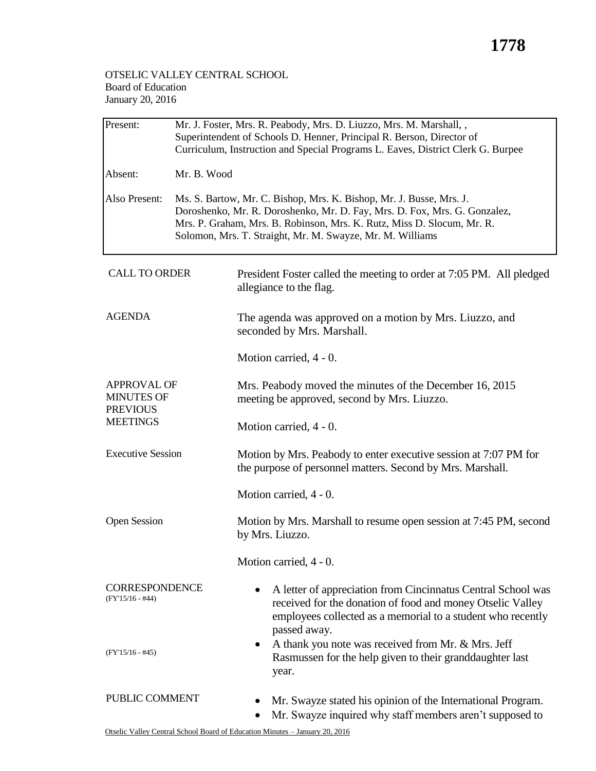## **1778**

## OTSELIC VALLEY CENTRAL SCHOOL Board of Education January 20, 2016

| Present:                                                                      | Mr. J. Foster, Mrs. R. Peabody, Mrs. D. Liuzzo, Mrs. M. Marshall, ,<br>Superintendent of Schools D. Henner, Principal R. Berson, Director of<br>Curriculum, Instruction and Special Programs L. Eaves, District Clerk G. Burpee                                                         |                                                                                                                                                                                                           |  |  |  |
|-------------------------------------------------------------------------------|-----------------------------------------------------------------------------------------------------------------------------------------------------------------------------------------------------------------------------------------------------------------------------------------|-----------------------------------------------------------------------------------------------------------------------------------------------------------------------------------------------------------|--|--|--|
| Absent:                                                                       | Mr. B. Wood                                                                                                                                                                                                                                                                             |                                                                                                                                                                                                           |  |  |  |
| Also Present:                                                                 | Ms. S. Bartow, Mr. C. Bishop, Mrs. K. Bishop, Mr. J. Busse, Mrs. J.<br>Doroshenko, Mr. R. Doroshenko, Mr. D. Fay, Mrs. D. Fox, Mrs. G. Gonzalez,<br>Mrs. P. Graham, Mrs. B. Robinson, Mrs. K. Rutz, Miss D. Slocum, Mr. R.<br>Solomon, Mrs. T. Straight, Mr. M. Swayze, Mr. M. Williams |                                                                                                                                                                                                           |  |  |  |
| <b>CALL TO ORDER</b>                                                          |                                                                                                                                                                                                                                                                                         | President Foster called the meeting to order at 7:05 PM. All pledged<br>allegiance to the flag.                                                                                                           |  |  |  |
| <b>AGENDA</b>                                                                 |                                                                                                                                                                                                                                                                                         | The agenda was approved on a motion by Mrs. Liuzzo, and<br>seconded by Mrs. Marshall.                                                                                                                     |  |  |  |
|                                                                               |                                                                                                                                                                                                                                                                                         | Motion carried, 4 - 0.                                                                                                                                                                                    |  |  |  |
| <b>APPROVAL OF</b><br><b>MINUTES OF</b><br><b>PREVIOUS</b><br><b>MEETINGS</b> |                                                                                                                                                                                                                                                                                         | Mrs. Peabody moved the minutes of the December 16, 2015<br>meeting be approved, second by Mrs. Liuzzo.                                                                                                    |  |  |  |
|                                                                               |                                                                                                                                                                                                                                                                                         | Motion carried, 4 - 0.                                                                                                                                                                                    |  |  |  |
| <b>Executive Session</b>                                                      |                                                                                                                                                                                                                                                                                         | Motion by Mrs. Peabody to enter executive session at 7:07 PM for<br>the purpose of personnel matters. Second by Mrs. Marshall.                                                                            |  |  |  |
|                                                                               |                                                                                                                                                                                                                                                                                         | Motion carried, 4 - 0.                                                                                                                                                                                    |  |  |  |
| <b>Open Session</b>                                                           |                                                                                                                                                                                                                                                                                         | Motion by Mrs. Marshall to resume open session at 7:45 PM, second<br>by Mrs. Liuzzo.                                                                                                                      |  |  |  |
|                                                                               |                                                                                                                                                                                                                                                                                         | Motion carried, 4 - 0.                                                                                                                                                                                    |  |  |  |
| <b>CORRESPONDENCE</b><br>$(FY'15/16 - #44)$                                   |                                                                                                                                                                                                                                                                                         | A letter of appreciation from Cincinnatus Central School was<br>received for the donation of food and money Otselic Valley<br>employees collected as a memorial to a student who recently<br>passed away. |  |  |  |
| $(FY'15/16 - #45)$                                                            |                                                                                                                                                                                                                                                                                         | A thank you note was received from Mr. & Mrs. Jeff<br>٠<br>Rasmussen for the help given to their granddaughter last<br>year.                                                                              |  |  |  |
| PUBLIC COMMENT                                                                |                                                                                                                                                                                                                                                                                         | Mr. Swayze stated his opinion of the International Program.<br>Mr. Swayze inquired why staff members aren't supposed to                                                                                   |  |  |  |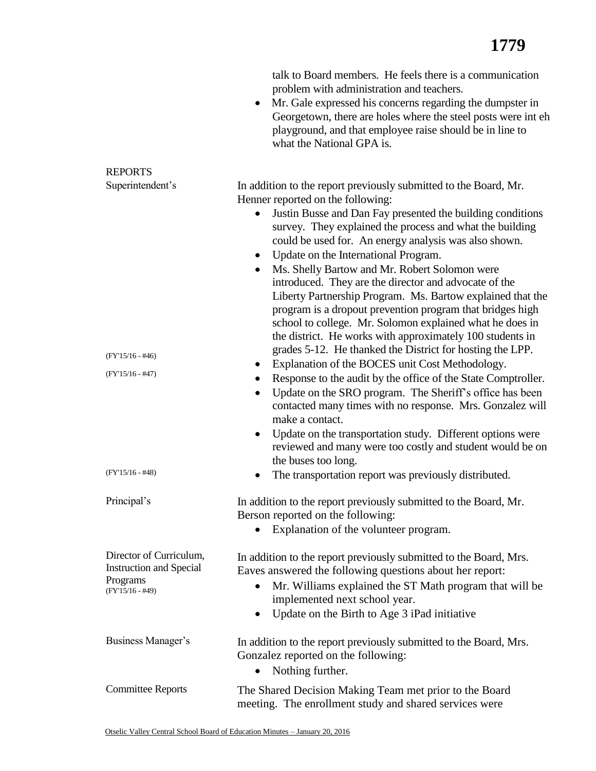|                                                                                             | talk to Board members. He feels there is a communication<br>problem with administration and teachers.<br>Mr. Gale expressed his concerns regarding the dumpster in<br>$\bullet$<br>Georgetown, there are holes where the steel posts were int eh<br>playground, and that employee raise should be in line to<br>what the National GPA is.                                                                                                                                                                                                                                                                                                                                                                                                                                                                                             |
|---------------------------------------------------------------------------------------------|---------------------------------------------------------------------------------------------------------------------------------------------------------------------------------------------------------------------------------------------------------------------------------------------------------------------------------------------------------------------------------------------------------------------------------------------------------------------------------------------------------------------------------------------------------------------------------------------------------------------------------------------------------------------------------------------------------------------------------------------------------------------------------------------------------------------------------------|
| <b>REPORTS</b>                                                                              |                                                                                                                                                                                                                                                                                                                                                                                                                                                                                                                                                                                                                                                                                                                                                                                                                                       |
| Superintendent's<br>$(FY'15/16 - #46)$                                                      | In addition to the report previously submitted to the Board, Mr.<br>Henner reported on the following:<br>Justin Busse and Dan Fay presented the building conditions<br>$\bullet$<br>survey. They explained the process and what the building<br>could be used for. An energy analysis was also shown.<br>Update on the International Program.<br>٠<br>Ms. Shelly Bartow and Mr. Robert Solomon were<br>introduced. They are the director and advocate of the<br>Liberty Partnership Program. Ms. Bartow explained that the<br>program is a dropout prevention program that bridges high<br>school to college. Mr. Solomon explained what he does in<br>the district. He works with approximately 100 students in<br>grades 5-12. He thanked the District for hosting the LPP.<br>Explanation of the BOCES unit Cost Methodology.<br>٠ |
| $(FY'15/16 - #47)$                                                                          | Response to the audit by the office of the State Comptroller.<br>٠<br>Update on the SRO program. The Sheriff's office has been<br>٠<br>contacted many times with no response. Mrs. Gonzalez will<br>make a contact.<br>Update on the transportation study. Different options were<br>٠<br>reviewed and many were too costly and student would be on<br>the buses too long.                                                                                                                                                                                                                                                                                                                                                                                                                                                            |
| $(FY'15/16 - #48)$                                                                          | The transportation report was previously distributed.<br>٠                                                                                                                                                                                                                                                                                                                                                                                                                                                                                                                                                                                                                                                                                                                                                                            |
| Principal's                                                                                 | In addition to the report previously submitted to the Board, Mr.<br>Berson reported on the following:<br>Explanation of the volunteer program.                                                                                                                                                                                                                                                                                                                                                                                                                                                                                                                                                                                                                                                                                        |
| Director of Curriculum,<br><b>Instruction and Special</b><br>Programs<br>$(FY'15/16 - #49)$ | In addition to the report previously submitted to the Board, Mrs.<br>Eaves answered the following questions about her report:<br>Mr. Williams explained the ST Math program that will be<br>$\bullet$<br>implemented next school year.<br>Update on the Birth to Age 3 iPad initiative<br>$\bullet$                                                                                                                                                                                                                                                                                                                                                                                                                                                                                                                                   |
| Business Manager's                                                                          | In addition to the report previously submitted to the Board, Mrs.<br>Gonzalez reported on the following:<br>Nothing further.<br>$\bullet$                                                                                                                                                                                                                                                                                                                                                                                                                                                                                                                                                                                                                                                                                             |
| <b>Committee Reports</b>                                                                    | The Shared Decision Making Team met prior to the Board<br>meeting. The enrollment study and shared services were                                                                                                                                                                                                                                                                                                                                                                                                                                                                                                                                                                                                                                                                                                                      |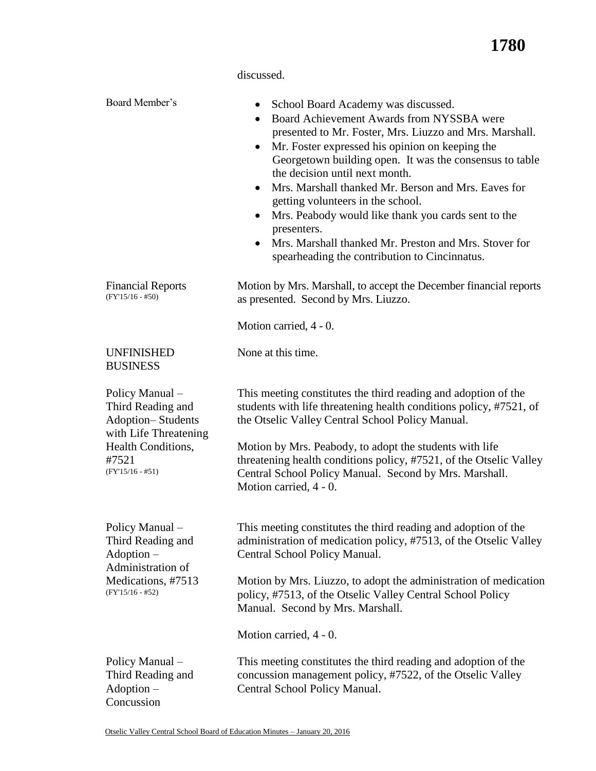|                                                                                           | discussed.                                                                                                                                                                                                                                                                                                                                                                                                                                                                                                                                                                                                       |  |  |
|-------------------------------------------------------------------------------------------|------------------------------------------------------------------------------------------------------------------------------------------------------------------------------------------------------------------------------------------------------------------------------------------------------------------------------------------------------------------------------------------------------------------------------------------------------------------------------------------------------------------------------------------------------------------------------------------------------------------|--|--|
| Board Member's                                                                            | School Board Academy was discussed.<br>٠<br>Board Achievement Awards from NYSSBA were<br>presented to Mr. Foster, Mrs. Liuzzo and Mrs. Marshall.<br>Mr. Foster expressed his opinion on keeping the<br>٠<br>Georgetown building open. It was the consensus to table<br>the decision until next month.<br>Mrs. Marshall thanked Mr. Berson and Mrs. Eaves for<br>$\bullet$<br>getting volunteers in the school.<br>Mrs. Peabody would like thank you cards sent to the<br>٠<br>presenters.<br>Mrs. Marshall thanked Mr. Preston and Mrs. Stover for<br>$\bullet$<br>spearheading the contribution to Cincinnatus. |  |  |
| <b>Financial Reports</b><br>$(FY'15/16 - #50)$                                            | Motion by Mrs. Marshall, to accept the December financial reports<br>as presented. Second by Mrs. Liuzzo.                                                                                                                                                                                                                                                                                                                                                                                                                                                                                                        |  |  |
|                                                                                           | Motion carried, 4 - 0.                                                                                                                                                                                                                                                                                                                                                                                                                                                                                                                                                                                           |  |  |
| <b>UNFINISHED</b><br><b>BUSINESS</b>                                                      | None at this time.                                                                                                                                                                                                                                                                                                                                                                                                                                                                                                                                                                                               |  |  |
| Policy Manual -<br>Third Reading and<br><b>Adoption-Students</b><br>with Life Threatening | This meeting constitutes the third reading and adoption of the<br>students with life threatening health conditions policy, #7521, of<br>the Otselic Valley Central School Policy Manual.                                                                                                                                                                                                                                                                                                                                                                                                                         |  |  |
| Health Conditions,<br>#7521<br>$(FY'15/16 - #51)$                                         | Motion by Mrs. Peabody, to adopt the students with life<br>threatening health conditions policy, #7521, of the Otselic Valley<br>Central School Policy Manual. Second by Mrs. Marshall.<br>Motion carried, 4 - 0.                                                                                                                                                                                                                                                                                                                                                                                                |  |  |
| Policy Manual -<br>Third Reading and<br>Adoption -<br>Administration of                   | This meeting constitutes the third reading and adoption of the<br>administration of medication policy, #7513, of the Otselic Valley<br>Central School Policy Manual.                                                                                                                                                                                                                                                                                                                                                                                                                                             |  |  |
| Medications, #7513<br>$(FY'15/16 - #52)$                                                  | Motion by Mrs. Liuzzo, to adopt the administration of medication<br>policy, #7513, of the Otselic Valley Central School Policy<br>Manual. Second by Mrs. Marshall.                                                                                                                                                                                                                                                                                                                                                                                                                                               |  |  |
|                                                                                           | Motion carried, 4 - 0.                                                                                                                                                                                                                                                                                                                                                                                                                                                                                                                                                                                           |  |  |
| Policy Manual -<br>Third Reading and<br>Adoption -<br>Concussion                          | This meeting constitutes the third reading and adoption of the<br>concussion management policy, #7522, of the Otselic Valley<br>Central School Policy Manual.                                                                                                                                                                                                                                                                                                                                                                                                                                                    |  |  |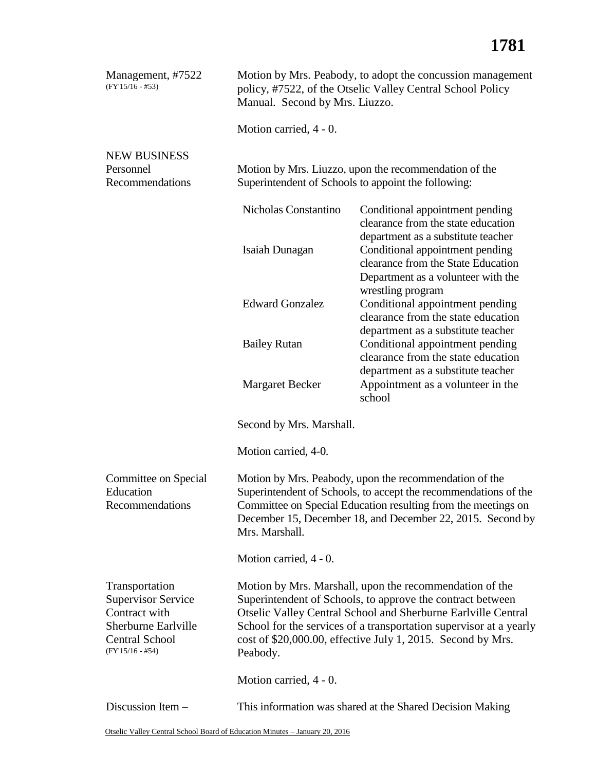| Management, #7522<br>$(FY'15/16 - #53)$                                                                                     | Motion by Mrs. Peabody, to adopt the concussion management<br>policy, #7522, of the Otselic Valley Central School Policy<br>Manual. Second by Mrs. Liuzzo.                                                                                                                                                                              |                                                                                                                                  |  |  |
|-----------------------------------------------------------------------------------------------------------------------------|-----------------------------------------------------------------------------------------------------------------------------------------------------------------------------------------------------------------------------------------------------------------------------------------------------------------------------------------|----------------------------------------------------------------------------------------------------------------------------------|--|--|
|                                                                                                                             | Motion carried, 4 - 0.                                                                                                                                                                                                                                                                                                                  |                                                                                                                                  |  |  |
| <b>NEW BUSINESS</b><br>Personnel<br>Recommendations                                                                         | Motion by Mrs. Liuzzo, upon the recommendation of the<br>Superintendent of Schools to appoint the following:                                                                                                                                                                                                                            |                                                                                                                                  |  |  |
|                                                                                                                             | Nicholas Constantino                                                                                                                                                                                                                                                                                                                    | Conditional appointment pending<br>clearance from the state education<br>department as a substitute teacher                      |  |  |
|                                                                                                                             | Isaiah Dunagan                                                                                                                                                                                                                                                                                                                          | Conditional appointment pending<br>clearance from the State Education<br>Department as a volunteer with the                      |  |  |
|                                                                                                                             | <b>Edward Gonzalez</b>                                                                                                                                                                                                                                                                                                                  | wrestling program<br>Conditional appointment pending<br>clearance from the state education<br>department as a substitute teacher |  |  |
|                                                                                                                             | <b>Bailey Rutan</b>                                                                                                                                                                                                                                                                                                                     | Conditional appointment pending<br>clearance from the state education<br>department as a substitute teacher                      |  |  |
|                                                                                                                             | <b>Margaret Becker</b>                                                                                                                                                                                                                                                                                                                  | Appointment as a volunteer in the<br>school                                                                                      |  |  |
|                                                                                                                             | Second by Mrs. Marshall.                                                                                                                                                                                                                                                                                                                |                                                                                                                                  |  |  |
|                                                                                                                             | Motion carried, 4-0.                                                                                                                                                                                                                                                                                                                    |                                                                                                                                  |  |  |
| Committee on Special<br>Education<br>Recommendations                                                                        | Motion by Mrs. Peabody, upon the recommendation of the<br>Superintendent of Schools, to accept the recommendations of the<br>Committee on Special Education resulting from the meetings on<br>December 15, December 18, and December 22, 2015. Second by<br>Mrs. Marshall.                                                              |                                                                                                                                  |  |  |
|                                                                                                                             | Motion carried, 4 - 0.                                                                                                                                                                                                                                                                                                                  |                                                                                                                                  |  |  |
| Transportation<br><b>Supervisor Service</b><br>Contract with<br>Sherburne Earlville<br>Central School<br>$(FY'15/16 - #54)$ | Motion by Mrs. Marshall, upon the recommendation of the<br>Superintendent of Schools, to approve the contract between<br>Otselic Valley Central School and Sherburne Earlville Central<br>School for the services of a transportation supervisor at a yearly<br>cost of \$20,000.00, effective July 1, 2015. Second by Mrs.<br>Peabody. |                                                                                                                                  |  |  |
|                                                                                                                             | Motion carried, 4 - 0.                                                                                                                                                                                                                                                                                                                  |                                                                                                                                  |  |  |
| Discussion Item -                                                                                                           | This information was shared at the Shared Decision Making                                                                                                                                                                                                                                                                               |                                                                                                                                  |  |  |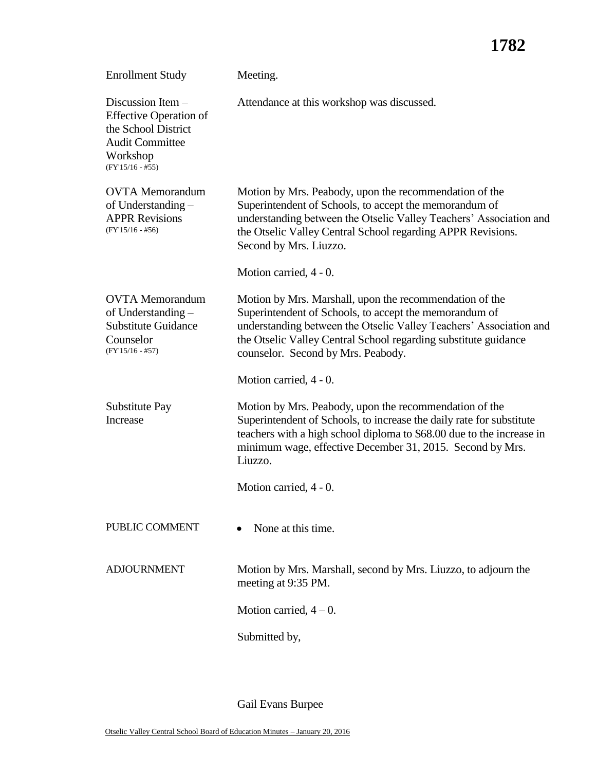## **1782**

| <b>Enrollment Study</b>                                                                                                               | Meeting.                                                                                                                                                                                                                                                                                         |  |
|---------------------------------------------------------------------------------------------------------------------------------------|--------------------------------------------------------------------------------------------------------------------------------------------------------------------------------------------------------------------------------------------------------------------------------------------------|--|
| Discussion Item -<br><b>Effective Operation of</b><br>the School District<br><b>Audit Committee</b><br>Workshop<br>$(FY'15/16 - #55)$ | Attendance at this workshop was discussed.                                                                                                                                                                                                                                                       |  |
| <b>OVTA</b> Memorandum<br>of Understanding -<br><b>APPR Revisions</b><br>$(FY'15/16 - #56)$                                           | Motion by Mrs. Peabody, upon the recommendation of the<br>Superintendent of Schools, to accept the memorandum of<br>understanding between the Otselic Valley Teachers' Association and<br>the Otselic Valley Central School regarding APPR Revisions.<br>Second by Mrs. Liuzzo.                  |  |
|                                                                                                                                       | Motion carried, 4 - 0.                                                                                                                                                                                                                                                                           |  |
| <b>OVTA</b> Memorandum<br>of Understanding -<br><b>Substitute Guidance</b><br>Counselor<br>$(FY'15/16 - #57)$                         | Motion by Mrs. Marshall, upon the recommendation of the<br>Superintendent of Schools, to accept the memorandum of<br>understanding between the Otselic Valley Teachers' Association and<br>the Otselic Valley Central School regarding substitute guidance<br>counselor. Second by Mrs. Peabody. |  |
|                                                                                                                                       | Motion carried, 4 - 0.                                                                                                                                                                                                                                                                           |  |
| Substitute Pay<br>Increase                                                                                                            | Motion by Mrs. Peabody, upon the recommendation of the<br>Superintendent of Schools, to increase the daily rate for substitute<br>teachers with a high school diploma to \$68.00 due to the increase in<br>minimum wage, effective December 31, 2015. Second by Mrs.<br>Liuzzo.                  |  |
|                                                                                                                                       | Motion carried, 4 - 0.                                                                                                                                                                                                                                                                           |  |
| PUBLIC COMMENT                                                                                                                        | None at this time.                                                                                                                                                                                                                                                                               |  |
| <b>ADJOURNMENT</b>                                                                                                                    | Motion by Mrs. Marshall, second by Mrs. Liuzzo, to adjourn the<br>meeting at 9:35 PM.                                                                                                                                                                                                            |  |
|                                                                                                                                       | Motion carried, $4-0$ .                                                                                                                                                                                                                                                                          |  |
|                                                                                                                                       | Submitted by,                                                                                                                                                                                                                                                                                    |  |

Gail Evans Burpee